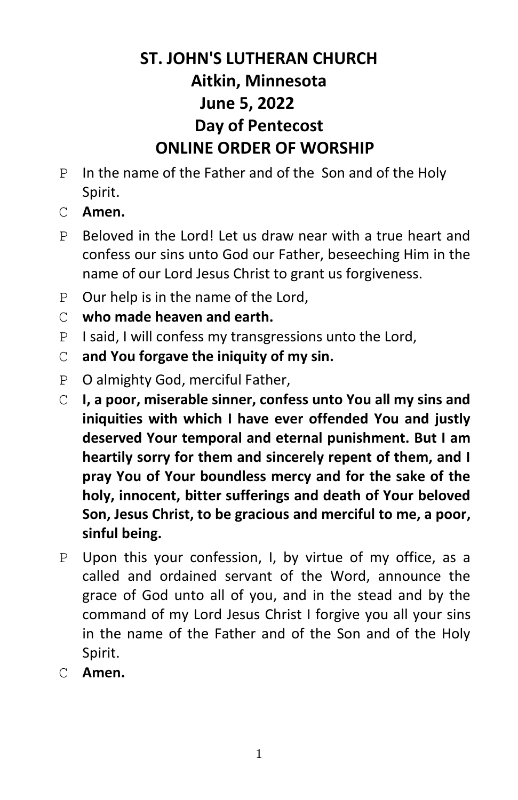# **ST. JOHN'S LUTHERAN CHURCH Aitkin, Minnesota June 5, 2022 Day of Pentecost ONLINE ORDER OF WORSHIP**

- P In the name of the Father and of the Son and of the Holy Spirit.
- C **Amen.**
- P Beloved in the Lord! Let us draw near with a true heart and confess our sins unto God our Father, beseeching Him in the name of our Lord Jesus Christ to grant us forgiveness.
- P Our help is in the name of the Lord,
- C **who made heaven and earth.**
- P I said, I will confess my transgressions unto the Lord,
- C **and You forgave the iniquity of my sin.**
- P O almighty God, merciful Father,
- C **I, a poor, miserable sinner, confess unto You all my sins and iniquities with which I have ever offended You and justly deserved Your temporal and eternal punishment. But I am heartily sorry for them and sincerely repent of them, and I pray You of Your boundless mercy and for the sake of the holy, innocent, bitter sufferings and death of Your beloved Son, Jesus Christ, to be gracious and merciful to me, a poor, sinful being.**
- P Upon this your confession, I, by virtue of my office, as a called and ordained servant of the Word, announce the grace of God unto all of you, and in the stead and by the command of my Lord Jesus Christ I forgive you all your sins in the name of the Father and of the Son and of the Holy Spirit.
- C **Amen.**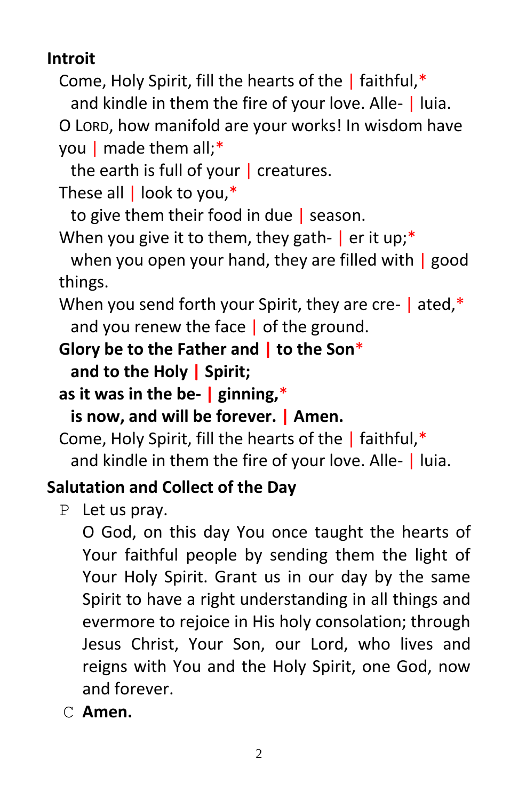**Introit**

Come, Holy Spirit, fill the hearts of the  $\vert$  faithful,\* and kindle in them the fire of your love. Alle- | luia. O LORD, how manifold are your works! In wisdom have

```
you | made them all;*
```
the earth is full of your  $\vert$  creatures.

These all | look to you,\*

to give them their food in due | season.

When you give it to them, they gath-  $\vert$  er it up;\*

when you open your hand, they are filled with | good things.

When you send forth your Spirit, they are cre- | ated,\* and you renew the face | of the ground.

**Glory be to the Father and | to the Son**\*

**and to the Holy | Spirit;**

**as it was in the be- | ginning,**\*

**is now, and will be forever. | Amen.**

Come, Holy Spirit, fill the hearts of the | faithful,\* and kindle in them the fire of your love. Alle- | luia.

# **Salutation and Collect of the Day**

P Let us pray.

O God, on this day You once taught the hearts of Your faithful people by sending them the light of Your Holy Spirit. Grant us in our day by the same Spirit to have a right understanding in all things and evermore to rejoice in His holy consolation; through Jesus Christ, Your Son, our Lord, who lives and reigns with You and the Holy Spirit, one God, now and forever.

C **Amen.**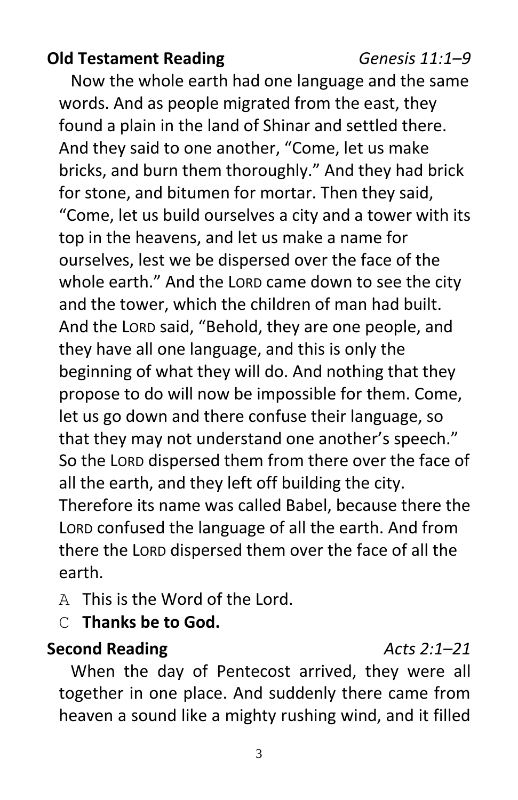#### **Old Testament Reading** *Genesis 11:1–9*

Now the whole earth had one language and the same words. And as people migrated from the east, they found a plain in the land of Shinar and settled there. And they said to one another, "Come, let us make bricks, and burn them thoroughly." And they had brick for stone, and bitumen for mortar. Then they said, "Come, let us build ourselves a city and a tower with its top in the heavens, and let us make a name for ourselves, lest we be dispersed over the face of the whole earth." And the LORD came down to see the city and the tower, which the children of man had built. And the LORD said, "Behold, they are one people, and they have all one language, and this is only the beginning of what they will do. And nothing that they propose to do will now be impossible for them. Come, let us go down and there confuse their language, so that they may not understand one another's speech." So the LORD dispersed them from there over the face of all the earth, and they left off building the city. Therefore its name was called Babel, because there the LORD confused the language of all the earth. And from there the LORD dispersed them over the face of all the earth.

A This is the Word of the Lord.

C **Thanks be to God.**

**Second Reading** *Acts 2:1–21*

When the day of Pentecost arrived, they were all together in one place. And suddenly there came from heaven a sound like a mighty rushing wind, and it filled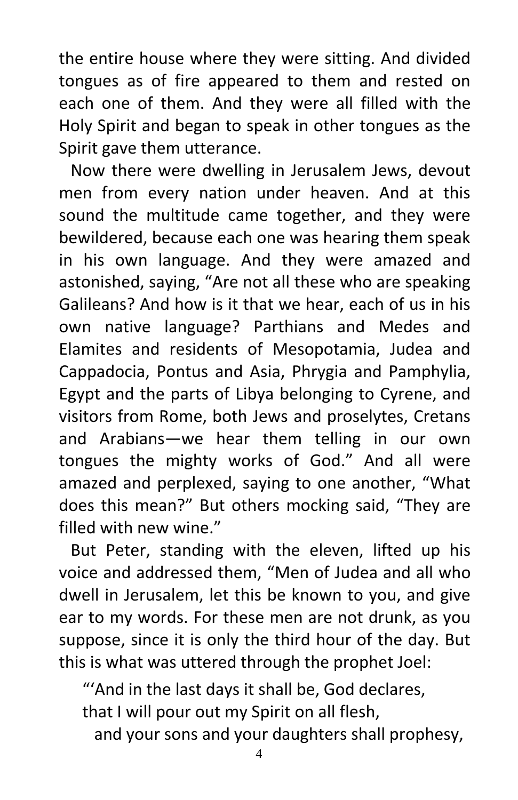the entire house where they were sitting. And divided tongues as of fire appeared to them and rested on each one of them. And they were all filled with the Holy Spirit and began to speak in other tongues as the Spirit gave them utterance.

Now there were dwelling in Jerusalem Jews, devout men from every nation under heaven. And at this sound the multitude came together, and they were bewildered, because each one was hearing them speak in his own language. And they were amazed and astonished, saying, "Are not all these who are speaking Galileans? And how is it that we hear, each of us in his own native language? Parthians and Medes and Elamites and residents of Mesopotamia, Judea and Cappadocia, Pontus and Asia, Phrygia and Pamphylia, Egypt and the parts of Libya belonging to Cyrene, and visitors from Rome, both Jews and proselytes, Cretans and Arabians—we hear them telling in our own tongues the mighty works of God." And all were amazed and perplexed, saying to one another, "What does this mean?" But others mocking said, "They are filled with new wine."

But Peter, standing with the eleven, lifted up his voice and addressed them, "Men of Judea and all who dwell in Jerusalem, let this be known to you, and give ear to my words. For these men are not drunk, as you suppose, since it is only the third hour of the day. But this is what was uttered through the prophet Joel:

"'And in the last days it shall be, God declares, that I will pour out my Spirit on all flesh,

and your sons and your daughters shall prophesy,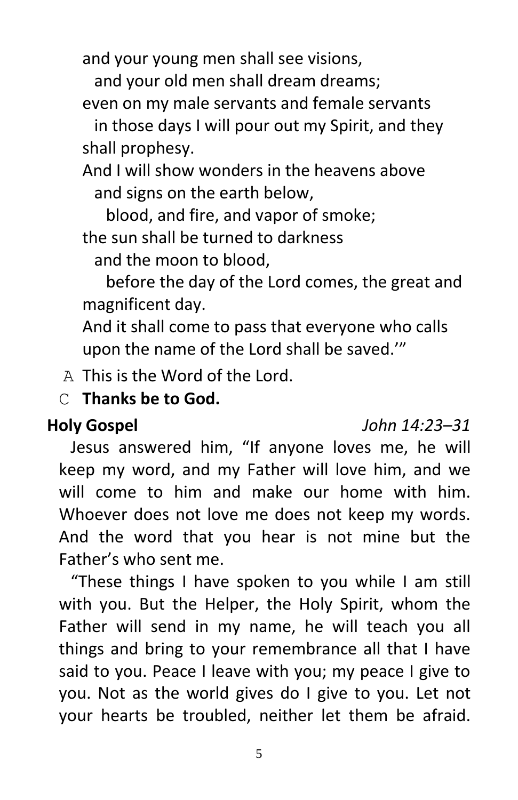and your young men shall see visions,

and your old men shall dream dreams;

even on my male servants and female servants

in those days I will pour out my Spirit, and they shall prophesy.

And I will show wonders in the heavens above and signs on the earth below,

blood, and fire, and vapor of smoke;

the sun shall be turned to darkness

and the moon to blood,

before the day of the Lord comes, the great and magnificent day.

And it shall come to pass that everyone who calls upon the name of the Lord shall be saved.'"

A This is the Word of the Lord.

C **Thanks be to God.**

#### **Holy Gospel** *John 14:23–31*

Jesus answered him, "If anyone loves me, he will keep my word, and my Father will love him, and we will come to him and make our home with him. Whoever does not love me does not keep my words. And the word that you hear is not mine but the Father's who sent me.

"These things I have spoken to you while I am still with you. But the Helper, the Holy Spirit, whom the Father will send in my name, he will teach you all things and bring to your remembrance all that I have said to you. Peace I leave with you; my peace I give to you. Not as the world gives do I give to you. Let not your hearts be troubled, neither let them be afraid.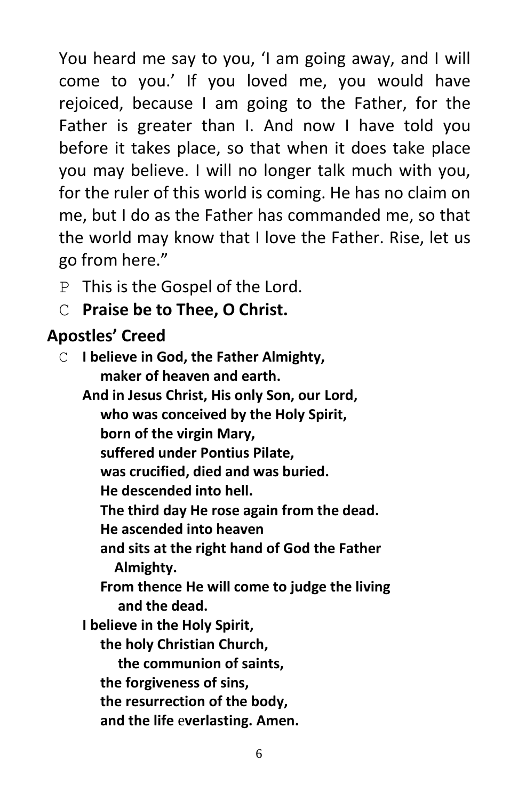You heard me say to you, 'I am going away, and I will come to you.' If you loved me, you would have rejoiced, because I am going to the Father, for the Father is greater than I. And now I have told you before it takes place, so that when it does take place you may believe. I will no longer talk much with you, for the ruler of this world is coming. He has no claim on me, but I do as the Father has commanded me, so that the world may know that I love the Father. Rise, let us go from here."

- P This is the Gospel of the Lord.
- C **Praise be to Thee, O Christ.**

### **Apostles' Creed**

C **I believe in God, the Father Almighty, maker of heaven and earth. And in Jesus Christ, His only Son, our Lord, who was conceived by the Holy Spirit, born of the virgin Mary, suffered under Pontius Pilate, was crucified, died and was buried. He descended into hell. The third day He rose again from the dead. He ascended into heaven and sits at the right hand of God the Father Almighty. From thence He will come to judge the living and the dead. I believe in the Holy Spirit, the holy Christian Church, the communion of saints, the forgiveness of sins, the resurrection of the body, and the life** e**verlasting. Amen.**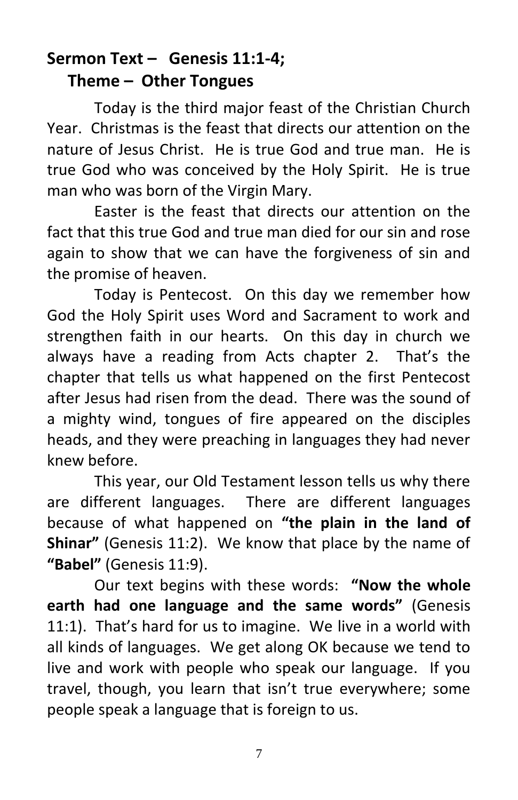#### **Sermon Text – Genesis 11:1-4; Theme – Other Tongues**

Today is the third major feast of the Christian Church Year. Christmas is the feast that directs our attention on the nature of Jesus Christ. He is true God and true man. He is true God who was conceived by the Holy Spirit. He is true man who was born of the Virgin Mary.

Easter is the feast that directs our attention on the fact that this true God and true man died for our sin and rose again to show that we can have the forgiveness of sin and the promise of heaven.

Today is Pentecost. On this day we remember how God the Holy Spirit uses Word and Sacrament to work and strengthen faith in our hearts. On this day in church we always have a reading from Acts chapter 2. That's the chapter that tells us what happened on the first Pentecost after Jesus had risen from the dead. There was the sound of a mighty wind, tongues of fire appeared on the disciples heads, and they were preaching in languages they had never knew before.

This year, our Old Testament lesson tells us why there are different languages. There are different languages because of what happened on **"the plain in the land of Shinar"** (Genesis 11:2). We know that place by the name of **"Babel"** (Genesis 11:9).

Our text begins with these words: **"Now the whole earth had one language and the same words"** (Genesis 11:1). That's hard for us to imagine. We live in a world with all kinds of languages. We get along OK because we tend to live and work with people who speak our language. If you travel, though, you learn that isn't true everywhere; some people speak a language that is foreign to us.

<sup>7</sup>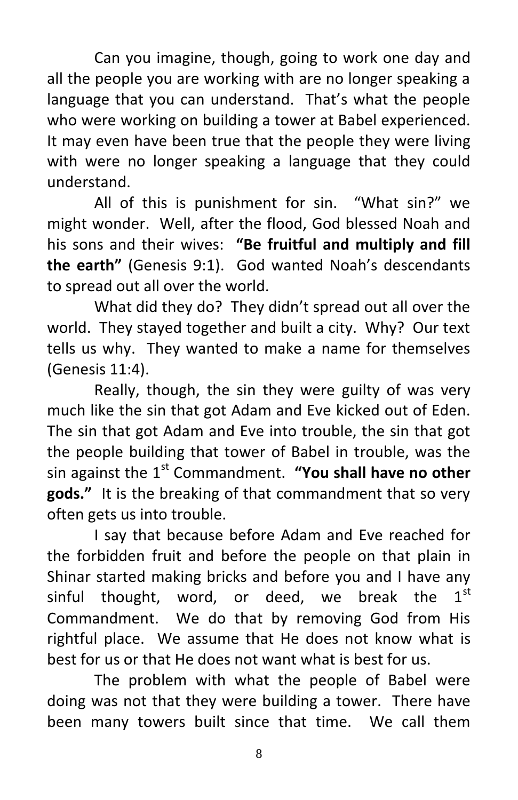Can you imagine, though, going to work one day and all the people you are working with are no longer speaking a language that you can understand. That's what the people who were working on building a tower at Babel experienced. It may even have been true that the people they were living with were no longer speaking a language that they could understand.

All of this is punishment for sin. "What sin?" we might wonder. Well, after the flood, God blessed Noah and his sons and their wives: **"Be fruitful and multiply and fill the earth"** (Genesis 9:1). God wanted Noah's descendants to spread out all over the world.

What did they do? They didn't spread out all over the world. They stayed together and built a city. Why? Our text tells us why. They wanted to make a name for themselves (Genesis 11:4).

Really, though, the sin they were guilty of was very much like the sin that got Adam and Eve kicked out of Eden. The sin that got Adam and Eve into trouble, the sin that got the people building that tower of Babel in trouble, was the sin against the 1<sup>st</sup> Commandment. "You shall have no other **gods."** It is the breaking of that commandment that so very often gets us into trouble.

I say that because before Adam and Eve reached for the forbidden fruit and before the people on that plain in Shinar started making bricks and before you and I have any sinful thought, word, or deed, we break the  $1^{st}$ Commandment. We do that by removing God from His rightful place. We assume that He does not know what is best for us or that He does not want what is best for us.

The problem with what the people of Babel were doing was not that they were building a tower. There have been many towers built since that time. We call them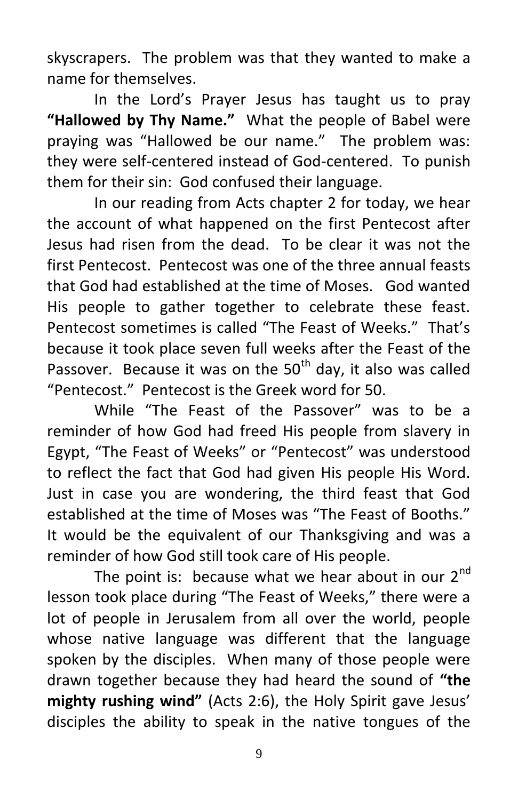skyscrapers. The problem was that they wanted to make a name for themselves.

In the Lord's Prayer Jesus has taught us to pray **"Hallowed by Thy Name."** What the people of Babel were praying was "Hallowed be our name." The problem was: they were self-centered instead of God-centered. To punish them for their sin: God confused their language.

In our reading from Acts chapter 2 for today, we hear the account of what happened on the first Pentecost after Jesus had risen from the dead. To be clear it was not the first Pentecost. Pentecost was one of the three annual feasts that God had established at the time of Moses. God wanted His people to gather together to celebrate these feast. Pentecost sometimes is called "The Feast of Weeks." That's because it took place seven full weeks after the Feast of the Passover. Because it was on the  $50<sup>th</sup>$  day, it also was called "Pentecost." Pentecost is the Greek word for 50.

While "The Feast of the Passover" was to be a reminder of how God had freed His people from slavery in Egypt, "The Feast of Weeks" or "Pentecost" was understood to reflect the fact that God had given His people His Word. Just in case you are wondering, the third feast that God established at the time of Moses was "The Feast of Booths." It would be the equivalent of our Thanksgiving and was a reminder of how God still took care of His people.

The point is: because what we hear about in our  $2^{nd}$ lesson took place during "The Feast of Weeks," there were a lot of people in Jerusalem from all over the world, people whose native language was different that the language spoken by the disciples. When many of those people were drawn together because they had heard the sound of **"the mighty rushing wind"** (Acts 2:6), the Holy Spirit gave Jesus' disciples the ability to speak in the native tongues of the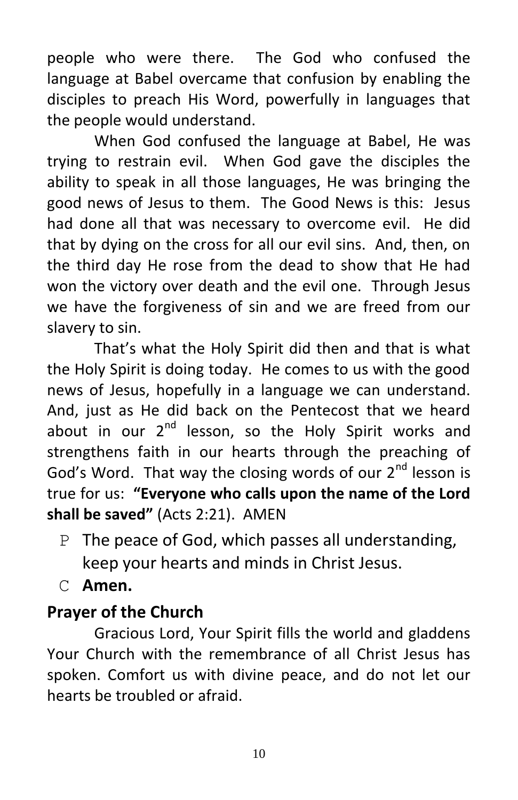people who were there. The God who confused the language at Babel overcame that confusion by enabling the disciples to preach His Word, powerfully in languages that the people would understand.

When God confused the language at Babel, He was trying to restrain evil. When God gave the disciples the ability to speak in all those languages, He was bringing the good news of Jesus to them. The Good News is this: Jesus had done all that was necessary to overcome evil. He did that by dying on the cross for all our evil sins. And, then, on the third day He rose from the dead to show that He had won the victory over death and the evil one. Through Jesus we have the forgiveness of sin and we are freed from our slavery to sin.

That's what the Holy Spirit did then and that is what the Holy Spirit is doing today. He comes to us with the good news of Jesus, hopefully in a language we can understand. And, just as He did back on the Pentecost that we heard about in our  $2^{nd}$  lesson, so the Holy Spirit works and strengthens faith in our hearts through the preaching of God's Word. That way the closing words of our 2<sup>nd</sup> lesson is true for us: **"Everyone who calls upon the name of the Lord shall be saved"** (Acts 2:21). AMEN

- P The peace of God, which passes all understanding, keep your hearts and minds in Christ Jesus.
- C **Amen.**

#### **Prayer of the Church**

Gracious Lord, Your Spirit fills the world and gladdens Your Church with the remembrance of all Christ Jesus has spoken. Comfort us with divine peace, and do not let our hearts be troubled or afraid.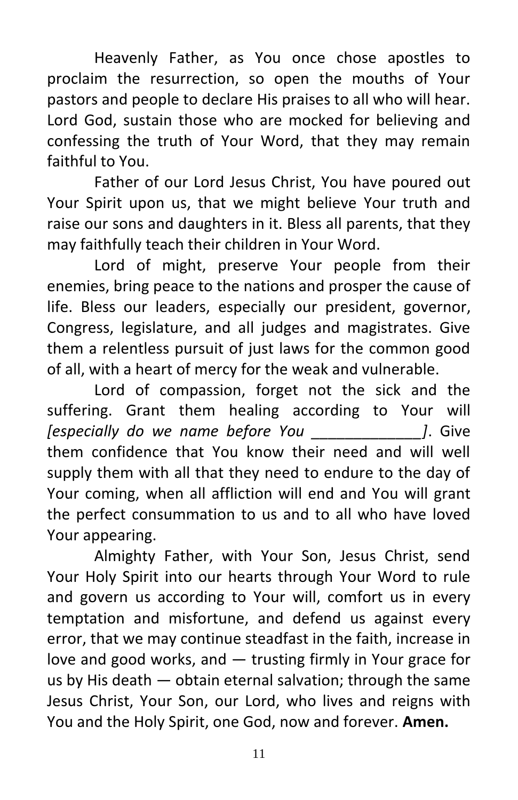Heavenly Father, as You once chose apostles to proclaim the resurrection, so open the mouths of Your pastors and people to declare His praises to all who will hear. Lord God, sustain those who are mocked for believing and confessing the truth of Your Word, that they may remain faithful to You.

Father of our Lord Jesus Christ, You have poured out Your Spirit upon us, that we might believe Your truth and raise our sons and daughters in it. Bless all parents, that they may faithfully teach their children in Your Word.

Lord of might, preserve Your people from their enemies, bring peace to the nations and prosper the cause of life. Bless our leaders, especially our president, governor, Congress, legislature, and all judges and magistrates. Give them a relentless pursuit of just laws for the common good of all, with a heart of mercy for the weak and vulnerable.

Lord of compassion, forget not the sick and the suffering. Grant them healing according to Your will *[especially do we name before You \_\_\_\_\_\_\_\_\_\_\_\_\_]*. Give them confidence that You know their need and will well supply them with all that they need to endure to the day of Your coming, when all affliction will end and You will grant the perfect consummation to us and to all who have loved Your appearing.

Almighty Father, with Your Son, Jesus Christ, send Your Holy Spirit into our hearts through Your Word to rule and govern us according to Your will, comfort us in every temptation and misfortune, and defend us against every error, that we may continue steadfast in the faith, increase in love and good works, and — trusting firmly in Your grace for us by His death — obtain eternal salvation; through the same Jesus Christ, Your Son, our Lord, who lives and reigns with You and the Holy Spirit, one God, now and forever. **Amen.**